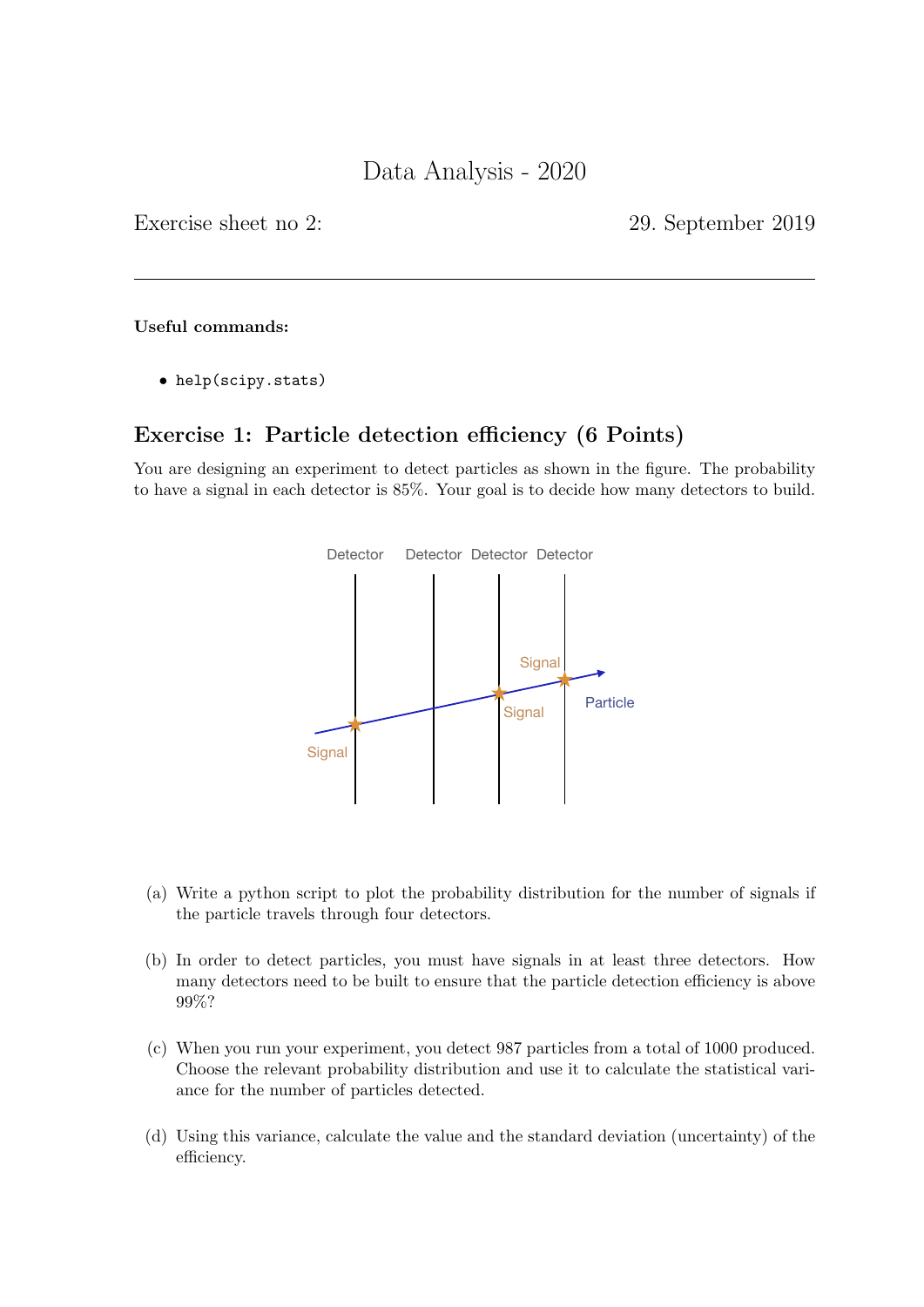Exercise sheet no 2: 29. September 2019

#### Useful commands:

• help(scipy.stats)

# Exercise 1: Particle detection efficiency (6 Points)

You are designing an experiment to detect particles as shown in the figure. The probability to have a signal in each detector is 85%. Your goal is to decide how many detectors to build.



- (a) Write a python script to plot the probability distribution for the number of signals if the particle travels through four detectors.
- (b) In order to detect particles, you must have signals in at least three detectors. How many detectors need to be built to ensure that the particle detection efficiency is above 99%?
- (c) When you run your experiment, you detect 987 particles from a total of 1000 produced. Choose the relevant probability distribution and use it to calculate the statistical variance for the number of particles detected.
- (d) Using this variance, calculate the value and the standard deviation (uncertainty) of the efficiency.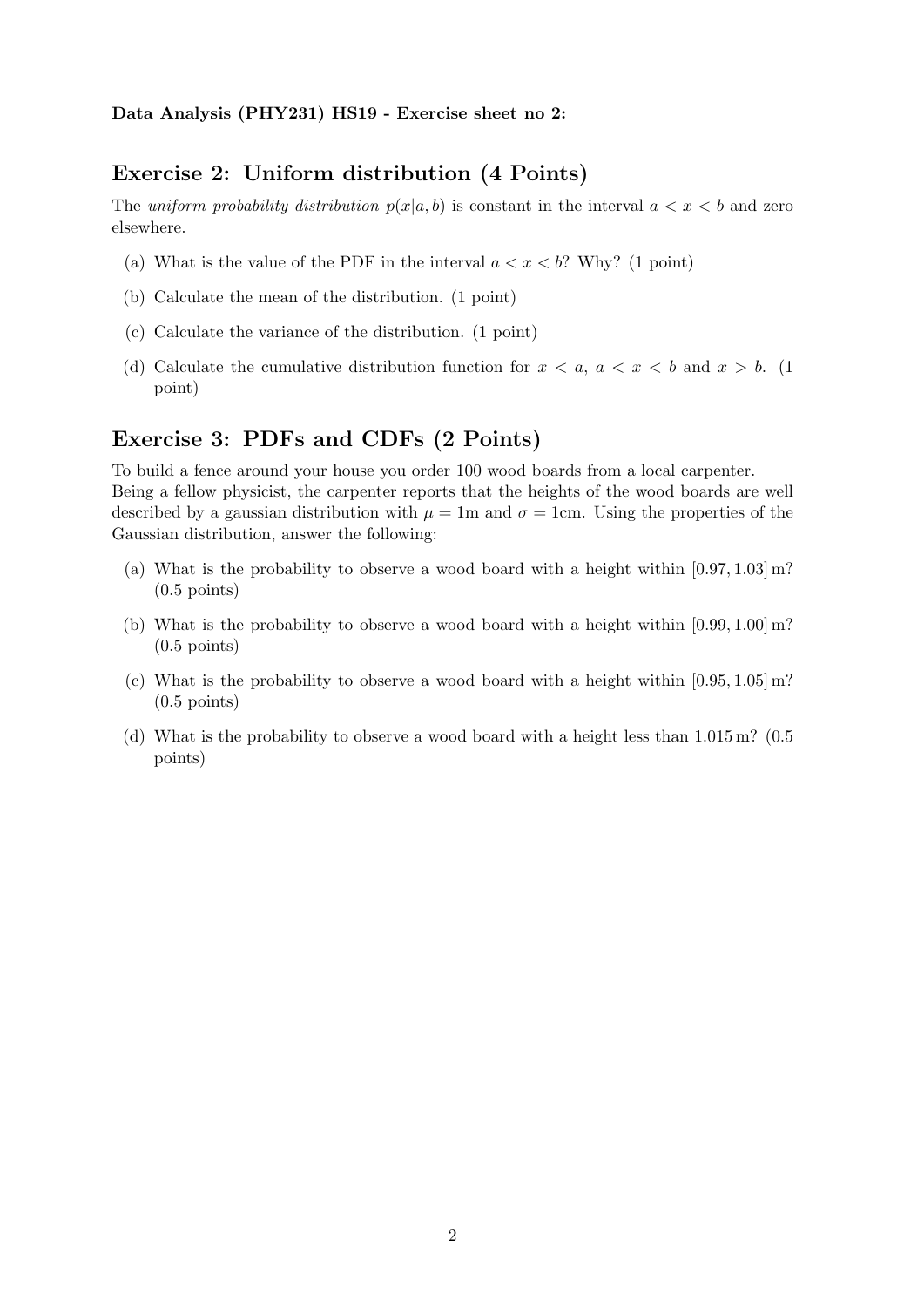#### Exercise 2: Uniform distribution (4 Points)

The uniform probability distribution  $p(x|a, b)$  is constant in the interval  $a < x < b$  and zero elsewhere.

- (a) What is the value of the PDF in the interval  $a < x < b$ ? Why? (1 point)
- (b) Calculate the mean of the distribution. (1 point)
- (c) Calculate the variance of the distribution. (1 point)
- (d) Calculate the cumulative distribution function for  $x < a, a < x < b$  and  $x > b$ . (1) point)

### Exercise 3: PDFs and CDFs (2 Points)

To build a fence around your house you order 100 wood boards from a local carpenter. Being a fellow physicist, the carpenter reports that the heights of the wood boards are well described by a gaussian distribution with  $\mu = 1$ m and  $\sigma = 1$ cm. Using the properties of the Gaussian distribution, answer the following:

- (a) What is the probability to observe a wood board with a height within  $[0.97, 1.03]$  m?  $(0.5 \text{ points})$
- (b) What is the probability to observe a wood board with a height within  $[0.99, 1.00]$  m?  $(0.5 \text{ points})$
- (c) What is the probability to observe a wood board with a height within  $[0.95, 1.05]$  m? (0.5 points)
- (d) What is the probability to observe a wood board with a height less than  $1.015 \,\mathrm{m}$ ? (0.5) points)